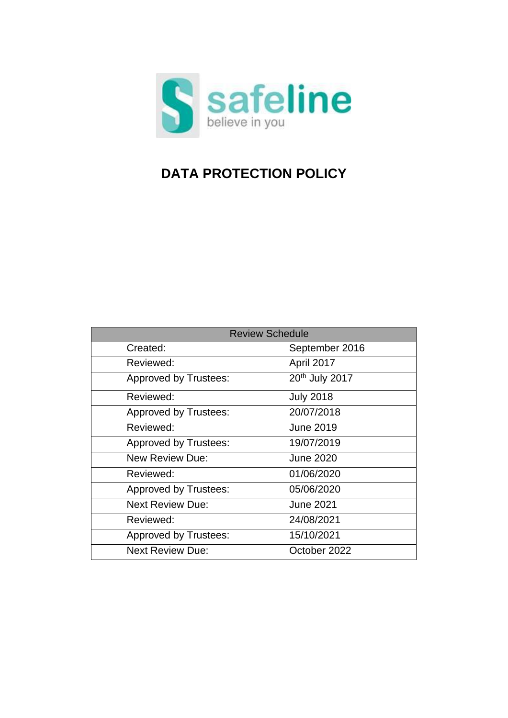

# **DATA PROTECTION POLICY**

| <b>Review Schedule</b>       |                            |  |
|------------------------------|----------------------------|--|
| Created:                     | September 2016             |  |
| Reviewed:                    | April 2017                 |  |
| <b>Approved by Trustees:</b> | 20 <sup>th</sup> July 2017 |  |
| Reviewed:                    | <b>July 2018</b>           |  |
| <b>Approved by Trustees:</b> | 20/07/2018                 |  |
| Reviewed:                    | <b>June 2019</b>           |  |
| <b>Approved by Trustees:</b> | 19/07/2019                 |  |
| <b>New Review Due:</b>       | <b>June 2020</b>           |  |
| Reviewed:                    | 01/06/2020                 |  |
| Approved by Trustees:        | 05/06/2020                 |  |
| <b>Next Review Due:</b>      | <b>June 2021</b>           |  |
| Reviewed:                    | 24/08/2021                 |  |
| <b>Approved by Trustees:</b> | 15/10/2021                 |  |
| <b>Next Review Due:</b>      | October 2022               |  |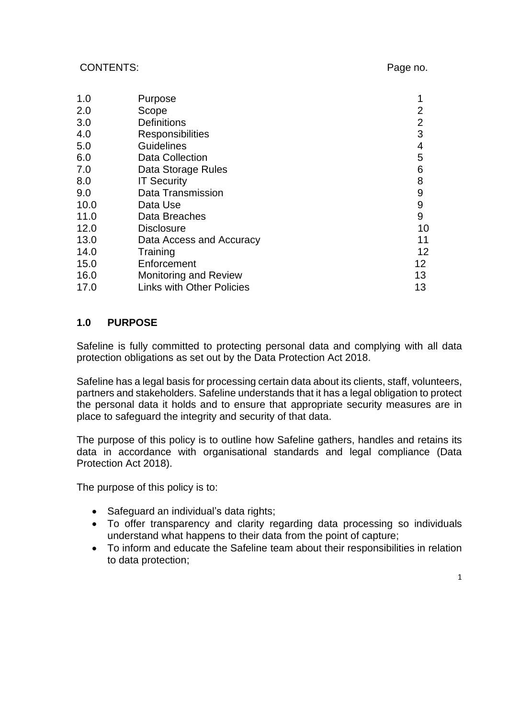#### CONTENTS: Page no.

| 1.0  | Purpose                          | 1               |
|------|----------------------------------|-----------------|
| 2.0  | Scope                            | 2               |
| 3.0  | <b>Definitions</b>               | $\overline{2}$  |
| 4.0  | <b>Responsibilities</b>          | 3               |
| 5.0  | <b>Guidelines</b>                | 4               |
| 6.0  | <b>Data Collection</b>           |                 |
| 7.0  | Data Storage Rules               | 6               |
| 8.0  | <b>IT Security</b>               | 8               |
| 9.0  | Data Transmission                | 9               |
| 10.0 | Data Use                         | 9               |
| 11.0 | Data Breaches                    | 9               |
| 12.0 | <b>Disclosure</b>                | 10              |
| 13.0 | Data Access and Accuracy         | 11              |
| 14.0 | Training                         | 12 <sup>2</sup> |
| 15.0 | Enforcement                      | 12              |
| 16.0 | <b>Monitoring and Review</b>     | 13              |
| 17.0 | <b>Links with Other Policies</b> | 13              |

#### **1.0 PURPOSE**

Safeline is fully committed to protecting personal data and complying with all data protection obligations as set out by the Data Protection Act 2018.

Safeline has a legal basis for processing certain data about its clients, staff, volunteers, partners and stakeholders. Safeline understands that it has a legal obligation to protect the personal data it holds and to ensure that appropriate security measures are in place to safeguard the integrity and security of that data.

The purpose of this policy is to outline how Safeline gathers, handles and retains its data in accordance with organisational standards and legal compliance (Data Protection Act 2018).

The purpose of this policy is to:

- Safeguard an individual's data rights:
- To offer transparency and clarity regarding data processing so individuals understand what happens to their data from the point of capture;
- To inform and educate the Safeline team about their responsibilities in relation to data protection;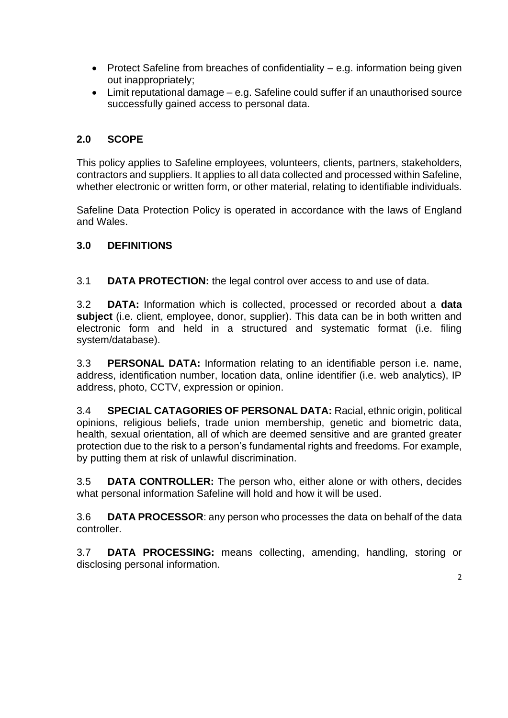- Protect Safeline from breaches of confidentiality e.g. information being given out inappropriately;
- Limit reputational damage e.g. Safeline could suffer if an unauthorised source successfully gained access to personal data.

# **2.0 SCOPE**

This policy applies to Safeline employees, volunteers, clients, partners, stakeholders, contractors and suppliers. It applies to all data collected and processed within Safeline, whether electronic or written form, or other material, relating to identifiable individuals.

Safeline Data Protection Policy is operated in accordance with the laws of England and Wales.

# **3.0 DEFINITIONS**

3.1 **DATA PROTECTION:** the legal control over access to and use of data.

3.2 **DATA:** Information which is collected, processed or recorded about a **data subject** (i.e. client, employee, donor, supplier). This data can be in both written and electronic form and held in a structured and systematic format (i.e. filing system/database).

3.3 **PERSONAL DATA:** Information relating to an identifiable person i.e. name, address, identification number, location data, online identifier (i.e. web analytics), IP address, photo, CCTV, expression or opinion.

3.4 **SPECIAL CATAGORIES OF PERSONAL DATA:** Racial, ethnic origin, political opinions, religious beliefs, trade union membership, genetic and biometric data, health, sexual orientation, all of which are deemed sensitive and are granted greater protection due to the risk to a person's fundamental rights and freedoms. For example, by putting them at risk of unlawful discrimination.

3.5 **DATA CONTROLLER:** The person who, either alone or with others, decides what personal information Safeline will hold and how it will be used.

3.6 **DATA PROCESSOR**: any person who processes the data on behalf of the data controller.

3.7 **DATA PROCESSING:** means collecting, amending, handling, storing or disclosing personal information.

2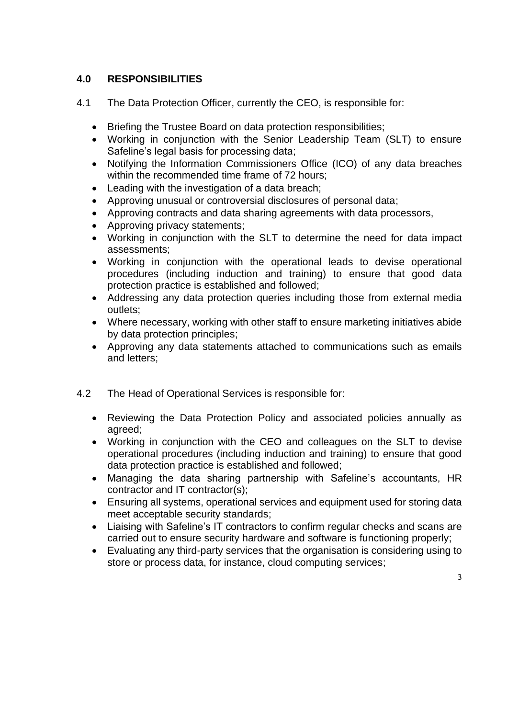# **4.0 RESPONSIBILITIES**

- 4.1 The Data Protection Officer, currently the CEO, is responsible for:
	- Briefing the Trustee Board on data protection responsibilities:
	- Working in conjunction with the Senior Leadership Team (SLT) to ensure Safeline's legal basis for processing data;
	- Notifying the Information Commissioners Office (ICO) of any data breaches within the recommended time frame of 72 hours;
	- Leading with the investigation of a data breach;
	- Approving unusual or controversial disclosures of personal data;
	- Approving contracts and data sharing agreements with data processors,
	- Approving privacy statements;
	- Working in conjunction with the SLT to determine the need for data impact assessments;
	- Working in conjunction with the operational leads to devise operational procedures (including induction and training) to ensure that good data protection practice is established and followed;
	- Addressing any data protection queries including those from external media outlets;
	- Where necessary, working with other staff to ensure marketing initiatives abide by data protection principles;
	- Approving any data statements attached to communications such as emails and letters;
- 4.2 The Head of Operational Services is responsible for:
	- Reviewing the Data Protection Policy and associated policies annually as agreed;
	- Working in conjunction with the CEO and colleagues on the SLT to devise operational procedures (including induction and training) to ensure that good data protection practice is established and followed;
	- Managing the data sharing partnership with Safeline's accountants, HR contractor and IT contractor(s);
	- Ensuring all systems, operational services and equipment used for storing data meet acceptable security standards;
	- Liaising with Safeline's IT contractors to confirm regular checks and scans are carried out to ensure security hardware and software is functioning properly;
	- Evaluating any third-party services that the organisation is considering using to store or process data, for instance, cloud computing services;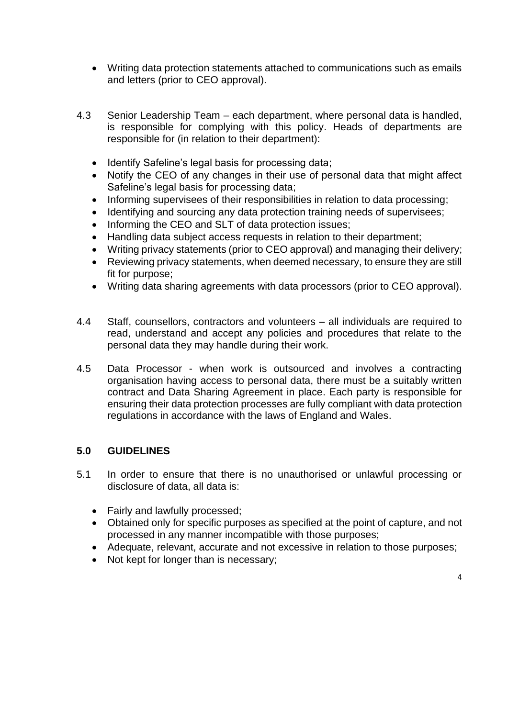- Writing data protection statements attached to communications such as emails and letters (prior to CEO approval).
- 4.3 Senior Leadership Team each department, where personal data is handled, is responsible for complying with this policy. Heads of departments are responsible for (in relation to their department):
	- Identify Safeline's legal basis for processing data;
	- Notify the CEO of any changes in their use of personal data that might affect Safeline's legal basis for processing data;
	- Informing supervisees of their responsibilities in relation to data processing;
	- Identifying and sourcing any data protection training needs of supervisees;
	- Informing the CEO and SLT of data protection issues;
	- Handling data subject access requests in relation to their department;
	- Writing privacy statements (prior to CEO approval) and managing their delivery;
	- Reviewing privacy statements, when deemed necessary, to ensure they are still fit for purpose;
	- Writing data sharing agreements with data processors (prior to CEO approval).
- 4.4 Staff, counsellors, contractors and volunteers all individuals are required to read, understand and accept any policies and procedures that relate to the personal data they may handle during their work.
- 4.5 Data Processor when work is outsourced and involves a contracting organisation having access to personal data, there must be a suitably written contract and Data Sharing Agreement in place. Each party is responsible for ensuring their data protection processes are fully compliant with data protection regulations in accordance with the laws of England and Wales.

#### **5.0 GUIDELINES**

- 5.1 In order to ensure that there is no unauthorised or unlawful processing or disclosure of data, all data is:
	- Fairly and lawfully processed;
	- Obtained only for specific purposes as specified at the point of capture, and not processed in any manner incompatible with those purposes;
	- Adequate, relevant, accurate and not excessive in relation to those purposes;
	- Not kept for longer than is necessary;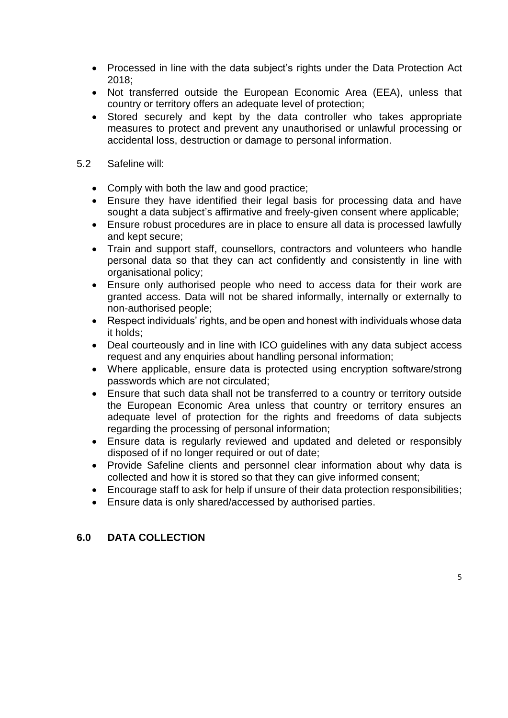- Processed in line with the data subject's rights under the Data Protection Act 2018;
- Not transferred outside the European Economic Area (EEA), unless that country or territory offers an adequate level of protection;
- Stored securely and kept by the data controller who takes appropriate measures to protect and prevent any unauthorised or unlawful processing or accidental loss, destruction or damage to personal information.
- 5.2 Safeline will:
	- Comply with both the law and good practice;
	- Ensure they have identified their legal basis for processing data and have sought a data subject's affirmative and freely-given consent where applicable;
	- Ensure robust procedures are in place to ensure all data is processed lawfully and kept secure;
	- Train and support staff, counsellors, contractors and volunteers who handle personal data so that they can act confidently and consistently in line with organisational policy;
	- Ensure only authorised people who need to access data for their work are granted access. Data will not be shared informally, internally or externally to non-authorised people;
	- Respect individuals' rights, and be open and honest with individuals whose data it holds;
	- Deal courteously and in line with ICO guidelines with any data subject access request and any enquiries about handling personal information;
	- Where applicable, ensure data is protected using encryption software/strong passwords which are not circulated;
	- Ensure that such data shall not be transferred to a country or territory outside the European Economic Area unless that country or territory ensures an adequate level of protection for the rights and freedoms of data subjects regarding the processing of personal information;
	- Ensure data is regularly reviewed and updated and deleted or responsibly disposed of if no longer required or out of date;
	- Provide Safeline clients and personnel clear information about why data is collected and how it is stored so that they can give informed consent;
	- Encourage staff to ask for help if unsure of their data protection responsibilities;
	- Ensure data is only shared/accessed by authorised parties.

# **6.0 DATA COLLECTION**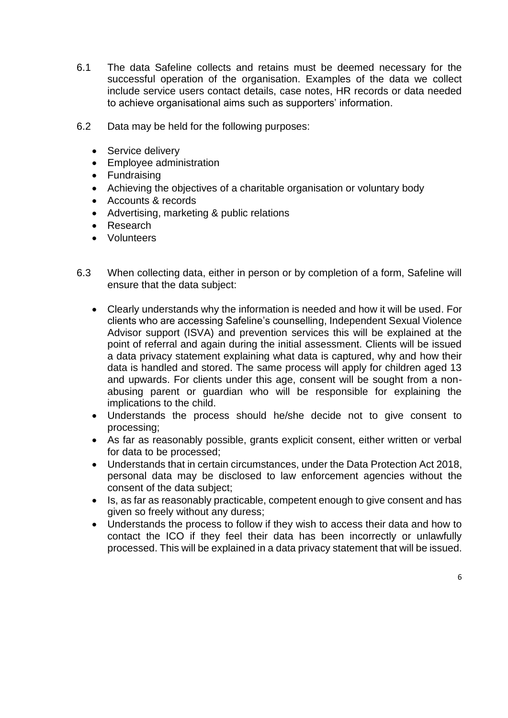- 6.1 The data Safeline collects and retains must be deemed necessary for the successful operation of the organisation. Examples of the data we collect include service users contact details, case notes, HR records or data needed to achieve organisational aims such as supporters' information.
- 6.2 Data may be held for the following purposes:
	- Service delivery
	- Employee administration
	- Fundraising
	- Achieving the objectives of a charitable organisation or voluntary body
	- Accounts & records
	- Advertising, marketing & public relations
	- Research
	- Volunteers
- 6.3 When collecting data, either in person or by completion of a form, Safeline will ensure that the data subject:
	- Clearly understands why the information is needed and how it will be used. For clients who are accessing Safeline's counselling, Independent Sexual Violence Advisor support (ISVA) and prevention services this will be explained at the point of referral and again during the initial assessment. Clients will be issued a data privacy statement explaining what data is captured, why and how their data is handled and stored. The same process will apply for children aged 13 and upwards. For clients under this age, consent will be sought from a nonabusing parent or guardian who will be responsible for explaining the implications to the child.
	- Understands the process should he/she decide not to give consent to processing;
	- As far as reasonably possible, grants explicit consent, either written or verbal for data to be processed;
	- Understands that in certain circumstances, under the Data Protection Act 2018, personal data may be disclosed to law enforcement agencies without the consent of the data subject;
	- Is, as far as reasonably practicable, competent enough to give consent and has given so freely without any duress;
	- Understands the process to follow if they wish to access their data and how to contact the ICO if they feel their data has been incorrectly or unlawfully processed. This will be explained in a data privacy statement that will be issued.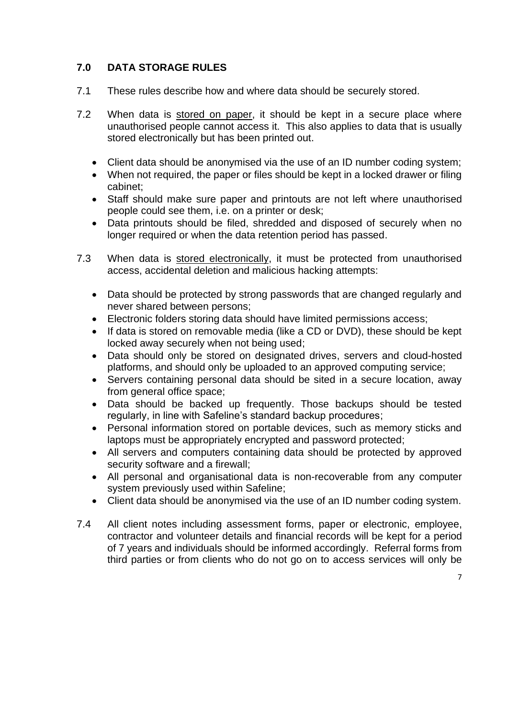# **7.0 DATA STORAGE RULES**

- 7.1 These rules describe how and where data should be securely stored.
- 7.2 When data is stored on paper, it should be kept in a secure place where unauthorised people cannot access it. This also applies to data that is usually stored electronically but has been printed out.
	- Client data should be anonymised via the use of an ID number coding system;
	- When not required, the paper or files should be kept in a locked drawer or filing cabinet;
	- Staff should make sure paper and printouts are not left where unauthorised people could see them, i.e. on a printer or desk;
	- Data printouts should be filed, shredded and disposed of securely when no longer required or when the data retention period has passed.
- 7.3 When data is stored electronically, it must be protected from unauthorised access, accidental deletion and malicious hacking attempts:
	- Data should be protected by strong passwords that are changed regularly and never shared between persons;
	- Electronic folders storing data should have limited permissions access;
	- If data is stored on removable media (like a CD or DVD), these should be kept locked away securely when not being used;
	- Data should only be stored on designated drives, servers and cloud-hosted platforms, and should only be uploaded to an approved computing service;
	- Servers containing personal data should be sited in a secure location, away from general office space;
	- Data should be backed up frequently. Those backups should be tested regularly, in line with Safeline's standard backup procedures;
	- Personal information stored on portable devices, such as memory sticks and laptops must be appropriately encrypted and password protected;
	- All servers and computers containing data should be protected by approved security software and a firewall;
	- All personal and organisational data is non-recoverable from any computer system previously used within Safeline;
	- Client data should be anonymised via the use of an ID number coding system.
- 7.4 All client notes including assessment forms, paper or electronic, employee, contractor and volunteer details and financial records will be kept for a period of 7 years and individuals should be informed accordingly. Referral forms from third parties or from clients who do not go on to access services will only be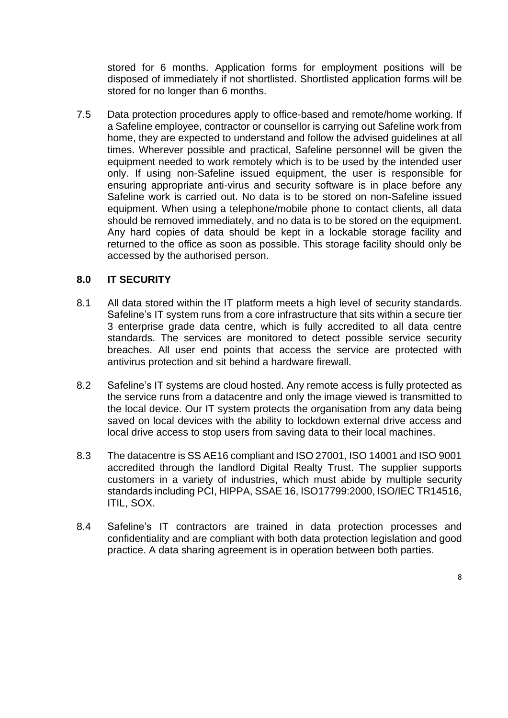stored for 6 months. Application forms for employment positions will be disposed of immediately if not shortlisted. Shortlisted application forms will be stored for no longer than 6 months.

7.5 Data protection procedures apply to office-based and remote/home working. If a Safeline employee, contractor or counsellor is carrying out Safeline work from home, they are expected to understand and follow the advised guidelines at all times. Wherever possible and practical, Safeline personnel will be given the equipment needed to work remotely which is to be used by the intended user only. If using non-Safeline issued equipment, the user is responsible for ensuring appropriate anti-virus and security software is in place before any Safeline work is carried out. No data is to be stored on non-Safeline issued equipment. When using a telephone/mobile phone to contact clients, all data should be removed immediately, and no data is to be stored on the equipment. Any hard copies of data should be kept in a lockable storage facility and returned to the office as soon as possible. This storage facility should only be accessed by the authorised person.

# **8.0 IT SECURITY**

- 8.1 All data stored within the IT platform meets a high level of security standards. Safeline's IT system runs from a core infrastructure that sits within a secure tier 3 enterprise grade data centre, which is fully accredited to all data centre standards. The services are monitored to detect possible service security breaches. All user end points that access the service are protected with antivirus protection and sit behind a hardware firewall.
- 8.2 Safeline's IT systems are cloud hosted. Any remote access is fully protected as the service runs from a datacentre and only the image viewed is transmitted to the local device. Our IT system protects the organisation from any data being saved on local devices with the ability to lockdown external drive access and local drive access to stop users from saving data to their local machines.
- 8.3 The datacentre is SS AE16 compliant and ISO 27001, ISO 14001 and ISO 9001 accredited through the landlord Digital Realty Trust. The supplier supports customers in a variety of industries, which must abide by multiple security standards including PCI, HIPPA, SSAE 16, ISO17799:2000, ISO/IEC TR14516, ITIL, SOX.
- 8.4 Safeline's IT contractors are trained in data protection processes and confidentiality and are compliant with both data protection legislation and good practice. A data sharing agreement is in operation between both parties.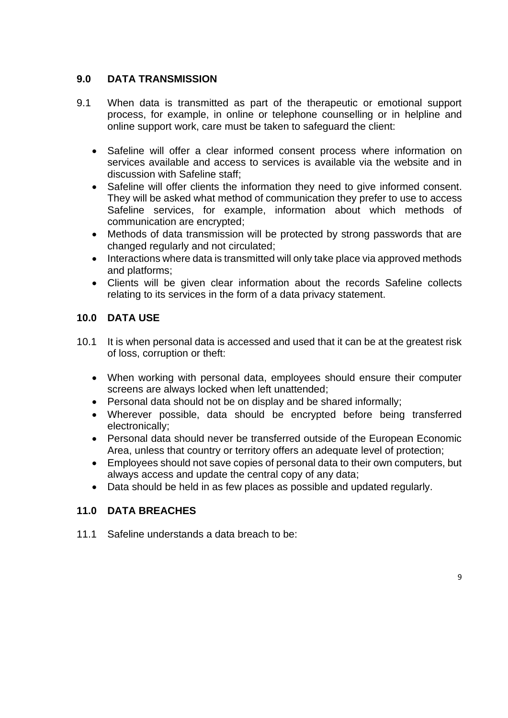# **9.0 DATA TRANSMISSION**

- 9.1 When data is transmitted as part of the therapeutic or emotional support process, for example, in online or telephone counselling or in helpline and online support work, care must be taken to safeguard the client:
	- Safeline will offer a clear informed consent process where information on services available and access to services is available via the website and in discussion with Safeline staff;
	- Safeline will offer clients the information they need to give informed consent. They will be asked what method of communication they prefer to use to access Safeline services, for example, information about which methods of communication are encrypted;
	- Methods of data transmission will be protected by strong passwords that are changed regularly and not circulated;
	- Interactions where data is transmitted will only take place via approved methods and platforms;
	- Clients will be given clear information about the records Safeline collects relating to its services in the form of a data privacy statement.

# **10.0 DATA USE**

- 10.1 It is when personal data is accessed and used that it can be at the greatest risk of loss, corruption or theft:
	- When working with personal data, employees should ensure their computer screens are always locked when left unattended;
	- Personal data should not be on display and be shared informally;
	- Wherever possible, data should be encrypted before being transferred electronically;
	- Personal data should never be transferred outside of the European Economic Area, unless that country or territory offers an adequate level of protection;
	- Employees should not save copies of personal data to their own computers, but always access and update the central copy of any data;
	- Data should be held in as few places as possible and updated regularly.

# **11.0 DATA BREACHES**

11.1 Safeline understands a data breach to be: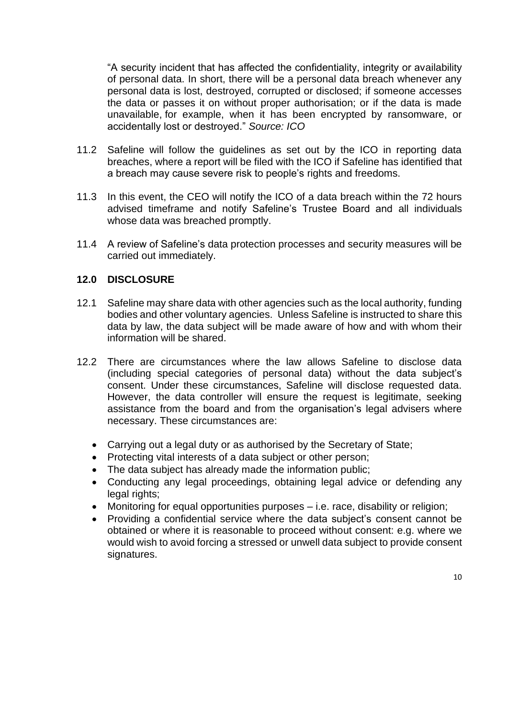"A security incident that has affected the confidentiality, integrity or availability of personal data. In short, there will be a personal data breach whenever any personal data is lost, destroyed, corrupted or disclosed; if someone accesses the data or passes it on without proper authorisation; or if the data is made unavailable, for example, when it has been encrypted by ransomware, or accidentally lost or destroyed." *Source: ICO*

- 11.2 Safeline will follow the guidelines as set out by the ICO in reporting data breaches, where a report will be filed with the ICO if Safeline has identified that a breach may cause severe risk to people's rights and freedoms.
- 11.3 In this event, the CEO will notify the ICO of a data breach within the 72 hours advised timeframe and notify Safeline's Trustee Board and all individuals whose data was breached promptly.
- 11.4 A review of Safeline's data protection processes and security measures will be carried out immediately.

#### **12.0 DISCLOSURE**

- 12.1 Safeline may share data with other agencies such as the local authority, funding bodies and other voluntary agencies. Unless Safeline is instructed to share this data by law, the data subject will be made aware of how and with whom their information will be shared.
- 12.2 There are circumstances where the law allows Safeline to disclose data (including special categories of personal data) without the data subject's consent. Under these circumstances, Safeline will disclose requested data. However, the data controller will ensure the request is legitimate, seeking assistance from the board and from the organisation's legal advisers where necessary. These circumstances are:
	- Carrying out a legal duty or as authorised by the Secretary of State;
	- Protecting vital interests of a data subject or other person;
	- The data subject has already made the information public;
	- Conducting any legal proceedings, obtaining legal advice or defending any legal rights;
	- Monitoring for equal opportunities purposes i.e. race, disability or religion;
	- Providing a confidential service where the data subject's consent cannot be obtained or where it is reasonable to proceed without consent: e.g. where we would wish to avoid forcing a stressed or unwell data subject to provide consent signatures.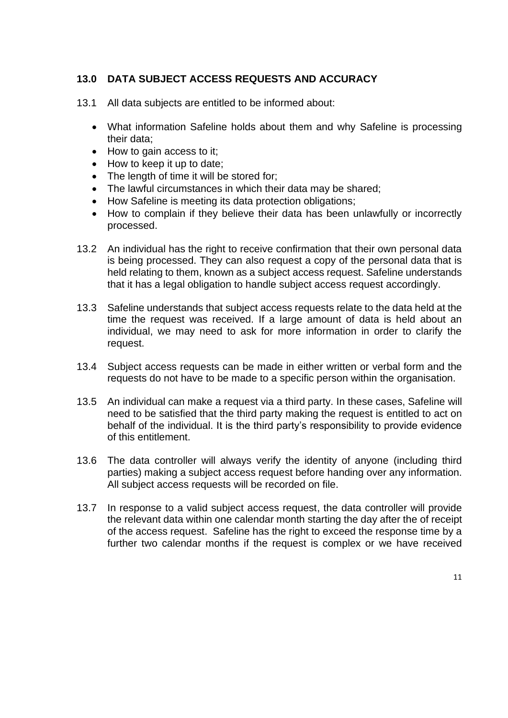#### **13.0 DATA SUBJECT ACCESS REQUESTS AND ACCURACY**

- 13.1 All data subjects are entitled to be informed about:
	- What information Safeline holds about them and why Safeline is processing their data;
	- How to gain access to it;
	- How to keep it up to date;
	- The length of time it will be stored for;
	- The lawful circumstances in which their data may be shared;
	- How Safeline is meeting its data protection obligations;
	- How to complain if they believe their data has been unlawfully or incorrectly processed.
- 13.2 An individual has the right to receive confirmation that their own personal data is being processed. They can also request a copy of the personal data that is held relating to them, known as a subject access request. Safeline understands that it has a legal obligation to handle subject access request accordingly.
- 13.3 Safeline understands that subject access requests relate to the data held at the time the request was received. If a large amount of data is held about an individual, we may need to ask for more information in order to clarify the request.
- 13.4 Subject access requests can be made in either written or verbal form and the requests do not have to be made to a specific person within the organisation.
- 13.5 An individual can make a request via a third party. In these cases, Safeline will need to be satisfied that the third party making the request is entitled to act on behalf of the individual. It is the third party's responsibility to provide evidence of this entitlement.
- 13.6 The data controller will always verify the identity of anyone (including third parties) making a subject access request before handing over any information. All subject access requests will be recorded on file.
- 13.7 In response to a valid subject access request, the data controller will provide the relevant data within one calendar month starting the day after the of receipt of the access request. Safeline has the right to exceed the response time by a further two calendar months if the request is complex or we have received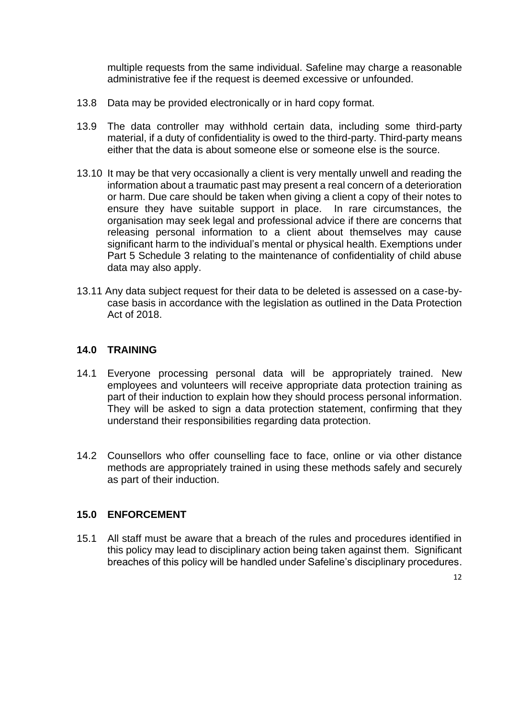multiple requests from the same individual. Safeline may charge a reasonable administrative fee if the request is deemed excessive or unfounded.

- 13.8 Data may be provided electronically or in hard copy format.
- 13.9 The data controller may withhold certain data, including some third-party material, if a duty of confidentiality is owed to the third-party. Third-party means either that the data is about someone else or someone else is the source.
- 13.10 It may be that very occasionally a client is very mentally unwell and reading the information about a traumatic past may present a real concern of a deterioration or harm. Due care should be taken when giving a client a copy of their notes to ensure they have suitable support in place. In rare circumstances, the organisation may seek legal and professional advice if there are concerns that releasing personal information to a client about themselves may cause significant harm to the individual's mental or physical health. Exemptions under Part 5 Schedule 3 relating to the maintenance of confidentiality of child abuse data may also apply.
- 13.11 Any data subject request for their data to be deleted is assessed on a case-bycase basis in accordance with the legislation as outlined in the Data Protection Act of 2018.

#### **14.0 TRAINING**

- 14.1 Everyone processing personal data will be appropriately trained. New employees and volunteers will receive appropriate data protection training as part of their induction to explain how they should process personal information. They will be asked to sign a data protection statement, confirming that they understand their responsibilities regarding data protection.
- 14.2 Counsellors who offer counselling face to face, online or via other distance methods are appropriately trained in using these methods safely and securely as part of their induction.

#### **15.0 ENFORCEMENT**

15.1 All staff must be aware that a breach of the rules and procedures identified in this policy may lead to disciplinary action being taken against them. Significant breaches of this policy will be handled under Safeline's disciplinary procedures.

12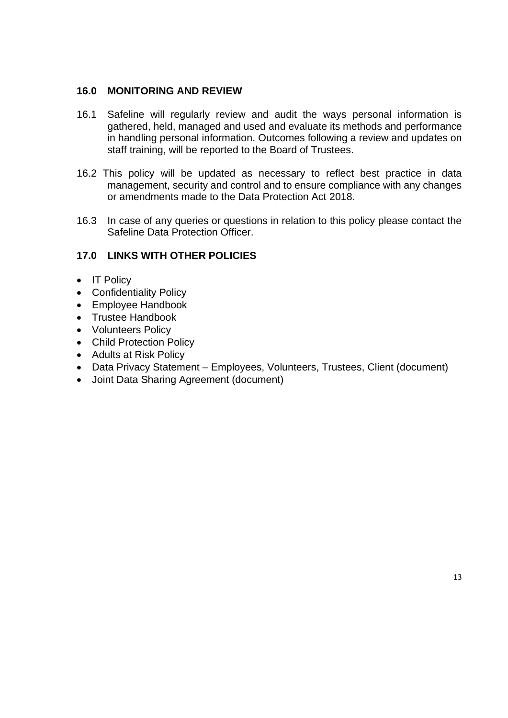#### **16.0 MONITORING AND REVIEW**

- 16.1 Safeline will regularly review and audit the ways personal information is gathered, held, managed and used and evaluate its methods and performance in handling personal information. Outcomes following a review and updates on staff training, will be reported to the Board of Trustees.
- 16.2 This policy will be updated as necessary to reflect best practice in data management, security and control and to ensure compliance with any changes or amendments made to the Data Protection Act 2018.
- 16.3 In case of any queries or questions in relation to this policy please contact the Safeline Data Protection Officer.

#### **17.0 LINKS WITH OTHER POLICIES**

- IT Policy
- Confidentiality Policy
- Employee Handbook
- Trustee Handbook
- Volunteers Policy
- Child Protection Policy
- Adults at Risk Policy
- Data Privacy Statement Employees, Volunteers, Trustees, Client (document)
- Joint Data Sharing Agreement (document)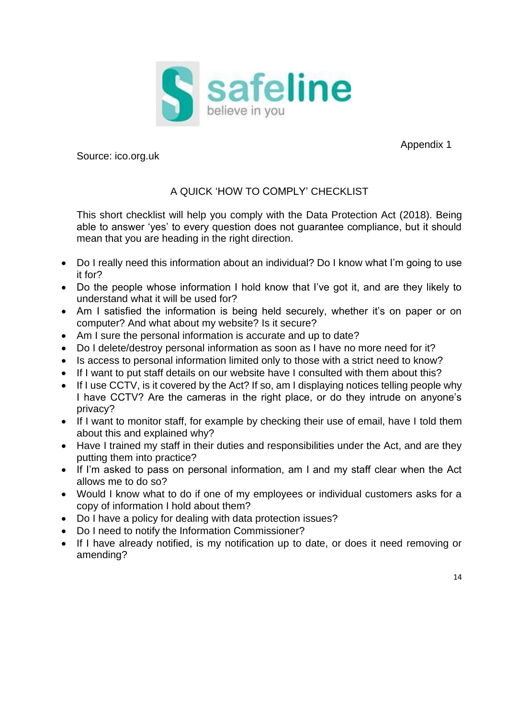

Appendix 1

Source: ico.org.uk

# A QUICK 'HOW TO COMPLY' CHECKLIST

This short checklist will help you comply with the Data Protection Act (2018). Being able to answer 'yes' to every question does not guarantee compliance, but it should mean that you are heading in the right direction.

- Do I really need this information about an individual? Do I know what I'm going to use it for?
- Do the people whose information I hold know that I've got it, and are they likely to understand what it will be used for?
- Am I satisfied the information is being held securely, whether it's on paper or on computer? And what about my website? Is it secure?
- Am I sure the personal information is accurate and up to date?
- Do I delete/destroy personal information as soon as I have no more need for it?
- Is access to personal information limited only to those with a strict need to know?
- If I want to put staff details on our website have I consulted with them about this?
- If I use CCTV, is it covered by the Act? If so, am I displaying notices telling people why I have CCTV? Are the cameras in the right place, or do they intrude on anyone's privacy?
- If I want to monitor staff, for example by checking their use of email, have I told them about this and explained why?
- Have I trained my staff in their duties and responsibilities under the Act, and are they putting them into practice?
- If I'm asked to pass on personal information, am I and my staff clear when the Act allows me to do so?
- Would I know what to do if one of my employees or individual customers asks for a copy of information I hold about them?
- Do I have a policy for dealing with data protection issues?
- Do I need to notify the Information Commissioner?
- If I have already notified, is my notification up to date, or does it need removing or amending?